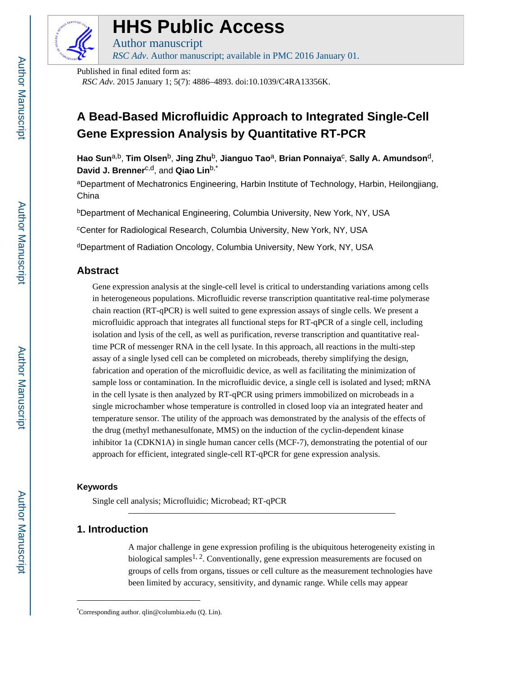

# **HHS Public Access**

Author manuscript *RSC Adv*. Author manuscript; available in PMC 2016 January 01.

Published in final edited form as: *RSC Adv*. 2015 January 1; 5(7): 4886–4893. doi:10.1039/C4RA13356K.

## **A Bead-Based Microfluidic Approach to Integrated Single-Cell Gene Expression Analysis by Quantitative RT-PCR**

**Hao Sun**a,b, **Tim Olsen**b, **Jing Zhu**b, **Jianguo Tao**a, **Brian Ponnaiya**<sup>c</sup> , **Sally A. Amundson**d, David J. Brenner<sup>c,d</sup>, and **Qiao Lin**<sup>b,\*</sup>

aDepartment of Mechatronics Engineering, Harbin Institute of Technology, Harbin, Heilongjiang, China

**bDepartment of Mechanical Engineering, Columbia University, New York, NY, USA** 

<sup>c</sup>Center for Radiological Research, Columbia University, New York, NY, USA

dDepartment of Radiation Oncology, Columbia University, New York, NY, USA

## **Abstract**

Gene expression analysis at the single-cell level is critical to understanding variations among cells in heterogeneous populations. Microfluidic reverse transcription quantitative real-time polymerase chain reaction (RT-qPCR) is well suited to gene expression assays of single cells. We present a microfluidic approach that integrates all functional steps for RT-qPCR of a single cell, including isolation and lysis of the cell, as well as purification, reverse transcription and quantitative realtime PCR of messenger RNA in the cell lysate. In this approach, all reactions in the multi-step assay of a single lysed cell can be completed on microbeads, thereby simplifying the design, fabrication and operation of the microfluidic device, as well as facilitating the minimization of sample loss or contamination. In the microfluidic device, a single cell is isolated and lysed; mRNA in the cell lysate is then analyzed by RT-qPCR using primers immobilized on microbeads in a single microchamber whose temperature is controlled in closed loop via an integrated heater and temperature sensor. The utility of the approach was demonstrated by the analysis of the effects of the drug (methyl methanesulfonate, MMS) on the induction of the cyclin-dependent kinase inhibitor 1a (CDKN1A) in single human cancer cells (MCF-7), demonstrating the potential of our approach for efficient, integrated single-cell RT-qPCR for gene expression analysis.

## **Keywords**

Single cell analysis; Microfluidic; Microbead; RT-qPCR

## **1. Introduction**

A major challenge in gene expression profiling is the ubiquitous heterogeneity existing in biological samples<sup>1, 2</sup>. Conventionally, gene expression measurements are focused on groups of cells from organs, tissues or cell culture as the measurement technologies have been limited by accuracy, sensitivity, and dynamic range. While cells may appear

<sup>\*</sup>Corresponding author. qlin@columbia.edu (Q. Lin).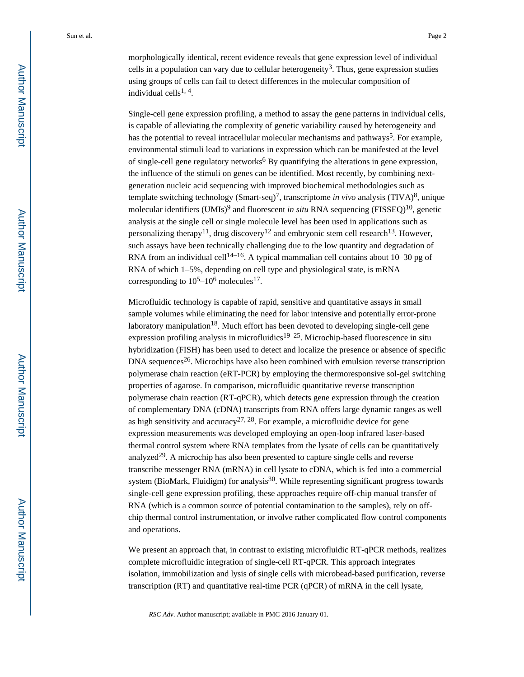morphologically identical, recent evidence reveals that gene expression level of individual cells in a population can vary due to cellular heterogeneity<sup>3</sup>. Thus, gene expression studies using groups of cells can fail to detect differences in the molecular composition of individual cells $1, 4$ .

Single-cell gene expression profiling, a method to assay the gene patterns in individual cells, is capable of alleviating the complexity of genetic variability caused by heterogeneity and has the potential to reveal intracellular molecular mechanisms and pathways<sup>5</sup>. For example, environmental stimuli lead to variations in expression which can be manifested at the level of single-cell gene regulatory networks<sup>6</sup> By quantifying the alterations in gene expression, the influence of the stimuli on genes can be identified. Most recently, by combining nextgeneration nucleic acid sequencing with improved biochemical methodologies such as template switching technology (Smart-seq)<sup>7</sup>, transcriptome *in vivo* analysis (TIVA)<sup>8</sup>, unique molecular identifiers (UMIs)<sup>9</sup> and fluorescent *in situ* RNA sequencing (FISSEQ)<sup>10</sup>, genetic analysis at the single cell or single molecule level has been used in applications such as personalizing therapy<sup>11</sup>, drug discovery<sup>12</sup> and embryonic stem cell research<sup>13</sup>. However, such assays have been technically challenging due to the low quantity and degradation of RNA from an individual cell<sup>14–16</sup>. A typical mammalian cell contains about 10–30 pg of RNA of which 1–5%, depending on cell type and physiological state, is mRNA corresponding to  $10^5 - 10^6$  molecules<sup>17</sup>.

Microfluidic technology is capable of rapid, sensitive and quantitative assays in small sample volumes while eliminating the need for labor intensive and potentially error-prone laboratory manipulation<sup>18</sup>. Much effort has been devoted to developing single-cell gene expression profiling analysis in microfluidics<sup>19–25</sup>. Microchip-based fluorescence in situ hybridization (FISH) has been used to detect and localize the presence or absence of specific  $DNA$  sequences<sup>26</sup>. Microchips have also been combined with emulsion reverse transcription polymerase chain reaction (eRT-PCR) by employing the thermoresponsive sol-gel switching properties of agarose. In comparison, microfluidic quantitative reverse transcription polymerase chain reaction (RT-qPCR), which detects gene expression through the creation of complementary DNA (cDNA) transcripts from RNA offers large dynamic ranges as well as high sensitivity and accuracy<sup>27, 28</sup>. For example, a microfluidic device for gene expression measurements was developed employing an open-loop infrared laser-based thermal control system where RNA templates from the lysate of cells can be quantitatively analyzed<sup>29</sup>. A microchip has also been presented to capture single cells and reverse transcribe messenger RNA (mRNA) in cell lysate to cDNA, which is fed into a commercial system (BioMark, Fluidigm) for analysis<sup>30</sup>. While representing significant progress towards single-cell gene expression profiling, these approaches require off-chip manual transfer of RNA (which is a common source of potential contamination to the samples), rely on offchip thermal control instrumentation, or involve rather complicated flow control components and operations.

We present an approach that, in contrast to existing microfluidic RT-qPCR methods, realizes complete microfluidic integration of single-cell RT-qPCR. This approach integrates isolation, immobilization and lysis of single cells with microbead-based purification, reverse transcription (RT) and quantitative real-time PCR (qPCR) of mRNA in the cell lysate,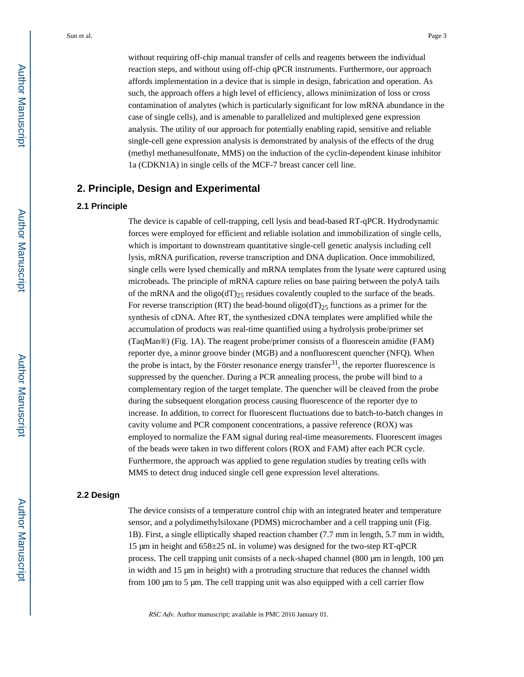without requiring off-chip manual transfer of cells and reagents between the individual reaction steps, and without using off-chip qPCR instruments. Furthermore, our approach affords implementation in a device that is simple in design, fabrication and operation. As such, the approach offers a high level of efficiency, allows minimization of loss or cross contamination of analytes (which is particularly significant for low mRNA abundance in the case of single cells), and is amenable to parallelized and multiplexed gene expression analysis. The utility of our approach for potentially enabling rapid, sensitive and reliable single-cell gene expression analysis is demonstrated by analysis of the effects of the drug (methyl methanesulfonate, MMS) on the induction of the cyclin-dependent kinase inhibitor 1a (CDKN1A) in single cells of the MCF-7 breast cancer cell line.

## **2. Principle, Design and Experimental**

#### **2.1 Principle**

The device is capable of cell-trapping, cell lysis and bead-based RT-qPCR. Hydrodynamic forces were employed for efficient and reliable isolation and immobilization of single cells, which is important to downstream quantitative single-cell genetic analysis including cell lysis, mRNA purification, reverse transcription and DNA duplication. Once immobilized, single cells were lysed chemically and mRNA templates from the lysate were captured using microbeads. The principle of mRNA capture relies on base pairing between the polyA tails of the mRNA and the oligo( $dT$ )<sub>25</sub> residues covalently coupled to the surface of the beads. For reverse transcription (RT) the bead-bound oligo( $dT$ )<sub>25</sub> functions as a primer for the synthesis of cDNA. After RT, the synthesized cDNA templates were amplified while the accumulation of products was real-time quantified using a hydrolysis probe/primer set (TaqMan®) (Fig. 1A). The reagent probe/primer consists of a fluorescein amidite (FAM) reporter dye, a minor groove binder (MGB) and a nonfluorescent quencher (NFQ). When the probe is intact, by the Förster resonance energy transfer<sup>31</sup>, the reporter fluorescence is suppressed by the quencher. During a PCR annealing process, the probe will bind to a complementary region of the target template. The quencher will be cleaved from the probe during the subsequent elongation process causing fluorescence of the reporter dye to increase. In addition, to correct for fluorescent fluctuations due to batch-to-batch changes in cavity volume and PCR component concentrations, a passive reference (ROX) was employed to normalize the FAM signal during real-time measurements. Fluorescent images of the beads were taken in two different colors (ROX and FAM) after each PCR cycle. Furthermore, the approach was applied to gene regulation studies by treating cells with MMS to detect drug induced single cell gene expression level alterations.

#### **2.2 Design**

The device consists of a temperature control chip with an integrated heater and temperature sensor, and a polydimethylsiloxane (PDMS) microchamber and a cell trapping unit (Fig. 1B). First, a single elliptically shaped reaction chamber (7.7 mm in length, 5.7 mm in width, 15 μm in height and 658±25 nL in volume) was designed for the two-step RT-qPCR process. The cell trapping unit consists of a neck-shaped channel (800 μm in length, 100 μm in width and 15 μm in height) with a protruding structure that reduces the channel width from 100 μm to 5 μm. The cell trapping unit was also equipped with a cell carrier flow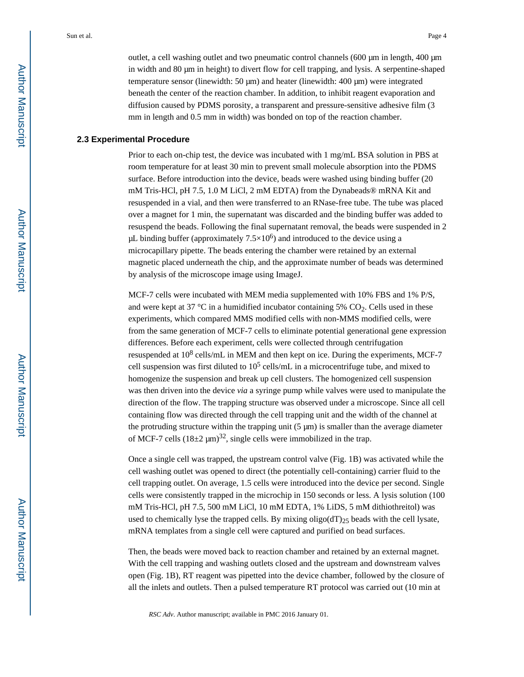outlet, a cell washing outlet and two pneumatic control channels (600 μm in length, 400 μm in width and 80 μm in height) to divert flow for cell trapping, and lysis. A serpentine-shaped temperature sensor (linewidth: 50 μm) and heater (linewidth: 400 μm) were integrated beneath the center of the reaction chamber. In addition, to inhibit reagent evaporation and diffusion caused by PDMS porosity, a transparent and pressure-sensitive adhesive film (3 mm in length and 0.5 mm in width) was bonded on top of the reaction chamber.

#### **2.3 Experimental Procedure**

Prior to each on-chip test, the device was incubated with 1 mg/mL BSA solution in PBS at room temperature for at least 30 min to prevent small molecule absorption into the PDMS surface. Before introduction into the device, beads were washed using binding buffer (20 mM Tris-HCl, pH 7.5, 1.0 M LiCl, 2 mM EDTA) from the Dynabeads® mRNA Kit and resuspended in a vial, and then were transferred to an RNase-free tube. The tube was placed over a magnet for 1 min, the supernatant was discarded and the binding buffer was added to resuspend the beads. Following the final supernatant removal, the beads were suspended in 2 μL binding buffer (approximately  $7.5 \times 10^6$ ) and introduced to the device using a microcapillary pipette. The beads entering the chamber were retained by an external magnetic placed underneath the chip, and the approximate number of beads was determined by analysis of the microscope image using ImageJ.

MCF-7 cells were incubated with MEM media supplemented with 10% FBS and 1% P/S, and were kept at 37 °C in a humidified incubator containing 5%  $CO<sub>2</sub>$ . Cells used in these experiments, which compared MMS modified cells with non-MMS modified cells, were from the same generation of MCF-7 cells to eliminate potential generational gene expression differences. Before each experiment, cells were collected through centrifugation resuspended at  $10^8$  cells/mL in MEM and then kept on ice. During the experiments, MCF-7 cell suspension was first diluted to  $10^5$  cells/mL in a microcentrifuge tube, and mixed to homogenize the suspension and break up cell clusters. The homogenized cell suspension was then driven into the device *via* a syringe pump while valves were used to manipulate the direction of the flow. The trapping structure was observed under a microscope. Since all cell containing flow was directed through the cell trapping unit and the width of the channel at the protruding structure within the trapping unit  $(5 \mu m)$  is smaller than the average diameter of MCF-7 cells  $(18\pm2 \text{ }\mu\text{m})^{32}$ , single cells were immobilized in the trap.

Once a single cell was trapped, the upstream control valve (Fig. 1B) was activated while the cell washing outlet was opened to direct (the potentially cell-containing) carrier fluid to the cell trapping outlet. On average, 1.5 cells were introduced into the device per second. Single cells were consistently trapped in the microchip in 150 seconds or less. A lysis solution (100 mM Tris-HCl, pH 7.5, 500 mM LiCl, 10 mM EDTA, 1% LiDS, 5 mM dithiothreitol) was used to chemically lyse the trapped cells. By mixing  $\text{oligo}(dT)_{25}$  beads with the cell lysate, mRNA templates from a single cell were captured and purified on bead surfaces.

Then, the beads were moved back to reaction chamber and retained by an external magnet. With the cell trapping and washing outlets closed and the upstream and downstream valves open (Fig. 1B), RT reagent was pipetted into the device chamber, followed by the closure of all the inlets and outlets. Then a pulsed temperature RT protocol was carried out (10 min at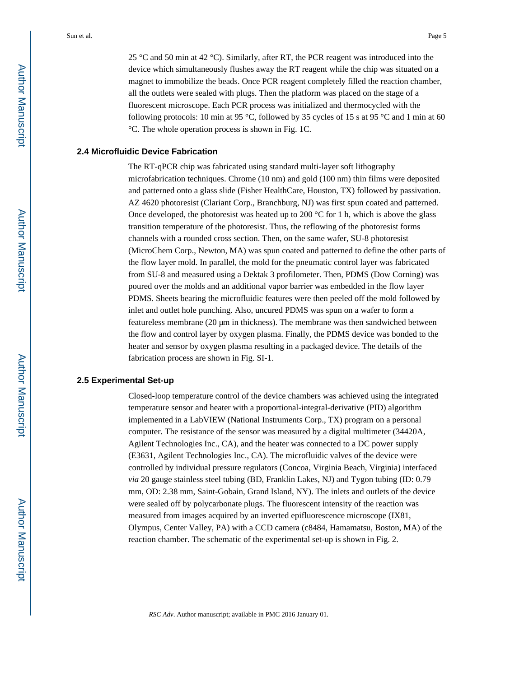25 °C and 50 min at 42 °C). Similarly, after RT, the PCR reagent was introduced into the device which simultaneously flushes away the RT reagent while the chip was situated on a magnet to immobilize the beads. Once PCR reagent completely filled the reaction chamber, all the outlets were sealed with plugs. Then the platform was placed on the stage of a fluorescent microscope. Each PCR process was initialized and thermocycled with the following protocols: 10 min at 95 °C, followed by 35 cycles of 15 s at 95 °C and 1 min at 60 °C. The whole operation process is shown in Fig. 1C.

#### **2.4 Microfluidic Device Fabrication**

The RT-qPCR chip was fabricated using standard multi-layer soft lithography microfabrication techniques. Chrome (10 nm) and gold (100 nm) thin films were deposited and patterned onto a glass slide (Fisher HealthCare, Houston, TX) followed by passivation. AZ 4620 photoresist (Clariant Corp., Branchburg, NJ) was first spun coated and patterned. Once developed, the photoresist was heated up to 200  $\degree$ C for 1 h, which is above the glass transition temperature of the photoresist. Thus, the reflowing of the photoresist forms channels with a rounded cross section. Then, on the same wafer, SU-8 photoresist (MicroChem Corp., Newton, MA) was spun coated and patterned to define the other parts of the flow layer mold. In parallel, the mold for the pneumatic control layer was fabricated from SU-8 and measured using a Dektak 3 profilometer. Then, PDMS (Dow Corning) was poured over the molds and an additional vapor barrier was embedded in the flow layer PDMS. Sheets bearing the microfluidic features were then peeled off the mold followed by inlet and outlet hole punching. Also, uncured PDMS was spun on a wafer to form a featureless membrane (20 μm in thickness). The membrane was then sandwiched between the flow and control layer by oxygen plasma. Finally, the PDMS device was bonded to the heater and sensor by oxygen plasma resulting in a packaged device. The details of the fabrication process are shown in Fig. SI-1.

#### **2.5 Experimental Set-up**

Closed-loop temperature control of the device chambers was achieved using the integrated temperature sensor and heater with a proportional-integral-derivative (PID) algorithm implemented in a LabVIEW (National Instruments Corp., TX) program on a personal computer. The resistance of the sensor was measured by a digital multimeter (34420A, Agilent Technologies Inc., CA), and the heater was connected to a DC power supply (E3631, Agilent Technologies Inc., CA). The microfluidic valves of the device were controlled by individual pressure regulators (Concoa, Virginia Beach, Virginia) interfaced *via* 20 gauge stainless steel tubing (BD, Franklin Lakes, NJ) and Tygon tubing (ID: 0.79 mm, OD: 2.38 mm, Saint-Gobain, Grand Island, NY). The inlets and outlets of the device were sealed off by polycarbonate plugs. The fluorescent intensity of the reaction was measured from images acquired by an inverted epifluorescence microscope (IX81, Olympus, Center Valley, PA) with a CCD camera (c8484, Hamamatsu, Boston, MA) of the reaction chamber. The schematic of the experimental set-up is shown in Fig. 2.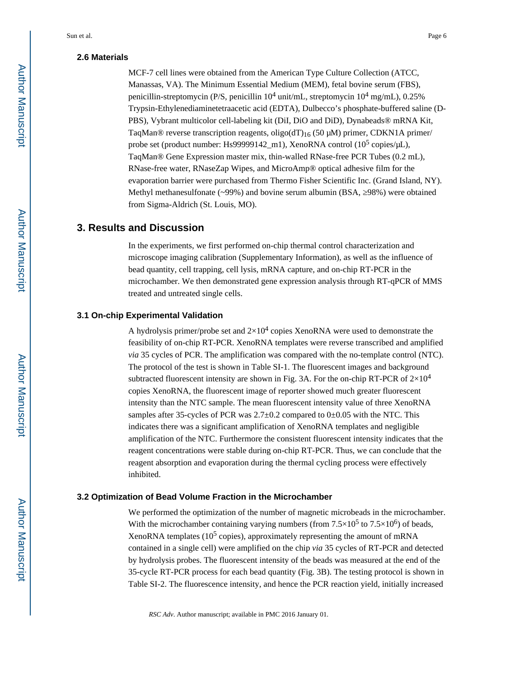#### **2.6 Materials**

MCF-7 cell lines were obtained from the American Type Culture Collection (ATCC, Manassas, VA). The Minimum Essential Medium (MEM), fetal bovine serum (FBS), penicillin-streptomycin (P/S, penicillin 10<sup>4</sup> unit/mL, streptomycin 10<sup>4</sup> mg/mL), 0.25% Trypsin-Ethylenediaminetetraacetic acid (EDTA), Dulbecco's phosphate-buffered saline (D-PBS), Vybrant multicolor cell-labeling kit (DiI, DiO and DiD), Dynabeads® mRNA Kit, TaqMan<sup>®</sup> reverse transcription reagents,  $\text{oligo}(dT)_{16}$  (50 µM) primer, CDKN1A primer/ probe set (product number: Hs99999142\_m1), XenoRNA control  $(10^5 \text{ copies/}\mu\text{L})$ , TaqMan® Gene Expression master mix, thin-walled RNase-free PCR Tubes (0.2 mL), RNase-free water, RNaseZap Wipes, and MicroAmp® optical adhesive film for the evaporation barrier were purchased from Thermo Fisher Scientific Inc. (Grand Island, NY). Methyl methanesulfonate (~99%) and bovine serum albumin (BSA, 98%) were obtained from Sigma-Aldrich (St. Louis, MO).

## **3. Results and Discussion**

In the experiments, we first performed on-chip thermal control characterization and microscope imaging calibration (Supplementary Information), as well as the influence of bead quantity, cell trapping, cell lysis, mRNA capture, and on-chip RT-PCR in the microchamber. We then demonstrated gene expression analysis through RT-qPCR of MMS treated and untreated single cells.

#### **3.1 On-chip Experimental Validation**

A hydrolysis primer/probe set and  $2\times10^4$  copies XenoRNA were used to demonstrate the feasibility of on-chip RT-PCR. XenoRNA templates were reverse transcribed and amplified *via* 35 cycles of PCR. The amplification was compared with the no-template control (NTC). The protocol of the test is shown in Table SI-1. The fluorescent images and background subtracted fluorescent intensity are shown in Fig. 3A. For the on-chip RT-PCR of  $2\times10^4$ copies XenoRNA, the fluorescent image of reporter showed much greater fluorescent intensity than the NTC sample. The mean fluorescent intensity value of three XenoRNA samples after 35-cycles of PCR was  $2.7\pm0.2$  compared to  $0\pm0.05$  with the NTC. This indicates there was a significant amplification of XenoRNA templates and negligible amplification of the NTC. Furthermore the consistent fluorescent intensity indicates that the reagent concentrations were stable during on-chip RT-PCR. Thus, we can conclude that the reagent absorption and evaporation during the thermal cycling process were effectively inhibited.

#### **3.2 Optimization of Bead Volume Fraction in the Microchamber**

We performed the optimization of the number of magnetic microbeads in the microchamber. With the microchamber containing varying numbers (from  $7.5 \times 10^5$  to  $7.5 \times 10^6$ ) of beads, XenoRNA templates ( $10^5$  copies), approximately representing the amount of mRNA contained in a single cell) were amplified on the chip *via* 35 cycles of RT-PCR and detected by hydrolysis probes. The fluorescent intensity of the beads was measured at the end of the 35-cycle RT-PCR process for each bead quantity (Fig. 3B). The testing protocol is shown in Table SI-2. The fluorescence intensity, and hence the PCR reaction yield, initially increased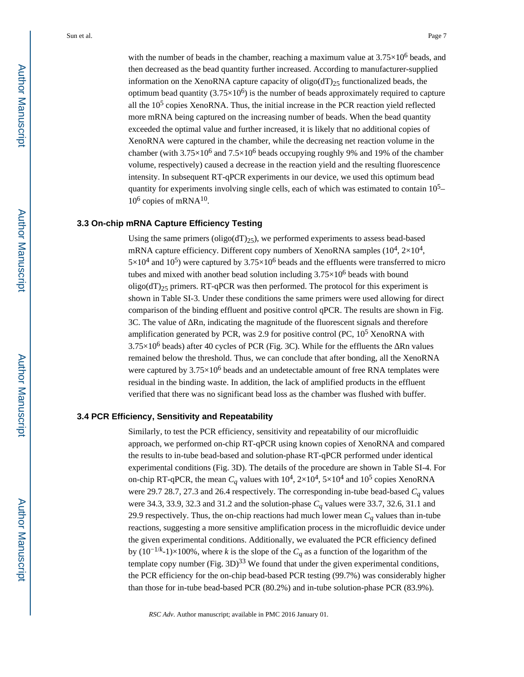with the number of beads in the chamber, reaching a maximum value at  $3.75 \times 10^6$  beads, and then decreased as the bead quantity further increased. According to manufacturer-supplied information on the XenoRNA capture capacity of oligo( $dT$ )<sub>25</sub> functionalized beads, the optimum bead quantity  $(3.75\times10^6)$  is the number of beads approximately required to capture all the  $10<sup>5</sup>$  copies XenoRNA. Thus, the initial increase in the PCR reaction yield reflected more mRNA being captured on the increasing number of beads. When the bead quantity exceeded the optimal value and further increased, it is likely that no additional copies of XenoRNA were captured in the chamber, while the decreasing net reaction volume in the chamber (with  $3.75 \times 10^6$  and  $7.5 \times 10^6$  beads occupying roughly 9% and 19% of the chamber volume, respectively) caused a decrease in the reaction yield and the resulting fluorescence intensity. In subsequent RT-qPCR experiments in our device, we used this optimum bead quantity for experiments involving single cells, each of which was estimated to contain  $10<sup>5</sup>$  $10^6$  copies of mRNA $^{10}$ .

#### **3.3 On-chip mRNA Capture Efficiency Testing**

Using the same primers (oligo( $dT$ )<sub>25</sub>), we performed experiments to assess bead-based mRNA capture efficiency. Different copy numbers of XenoRNA samples  $(10^4, 2 \times 10^4,$  $5 \times 10^4$  and  $10^5$ ) were captured by 3.75 $\times 10^6$  beads and the effluents were transferred to micro tubes and mixed with another bead solution including  $3.75 \times 10^6$  beads with bound  $oligo(dT)<sub>25</sub> primers. RT-qPCR was then performed. The protocol for this experiment is$ shown in Table SI-3. Under these conditions the same primers were used allowing for direct comparison of the binding effluent and positive control qPCR. The results are shown in Fig. 3C. The value of Rn, indicating the magnitude of the fluorescent signals and therefore amplification generated by PCR, was 2.9 for positive control (PC,  $10^5$  XenoRNA with  $3.75 \times 10^6$  beads) after 40 cycles of PCR (Fig. 3C). While for the effluents the Rn values remained below the threshold. Thus, we can conclude that after bonding, all the XenoRNA were captured by  $3.75 \times 10^6$  beads and an undetectable amount of free RNA templates were residual in the binding waste. In addition, the lack of amplified products in the effluent verified that there was no significant bead loss as the chamber was flushed with buffer.

#### **3.4 PCR Efficiency, Sensitivity and Repeatability**

Similarly, to test the PCR efficiency, sensitivity and repeatability of our microfluidic approach, we performed on-chip RT-qPCR using known copies of XenoRNA and compared the results to in-tube bead-based and solution-phase RT-qPCR performed under identical experimental conditions (Fig. 3D). The details of the procedure are shown in Table SI-4. For on-chip RT-qPCR, the mean  $C_q$  values with  $10^4$ ,  $2\times10^4$ ,  $5\times10^4$  and  $10^5$  copies XenoRNA were 29.7 28.7, 27.3 and 26.4 respectively. The corresponding in-tube bead-based *Cq* values were 34.3, 33.9, 32.3 and 31.2 and the solution-phase *Cq* values were 33.7, 32.6, 31.1 and 29.9 respectively. Thus, the on-chip reactions had much lower mean  $C_q$  values than in-tube reactions, suggesting a more sensitive amplification process in the microfluidic device under the given experimental conditions. Additionally, we evaluated the PCR efficiency defined by (10−1/*<sup>k</sup>* -1)×100%, where *k* is the slope of the *Cq* as a function of the logarithm of the template copy number (Fig. 3D) $^{33}$  We found that under the given experimental conditions, the PCR efficiency for the on-chip bead-based PCR testing (99.7%) was considerably higher than those for in-tube bead-based PCR (80.2%) and in-tube solution-phase PCR (83.9%).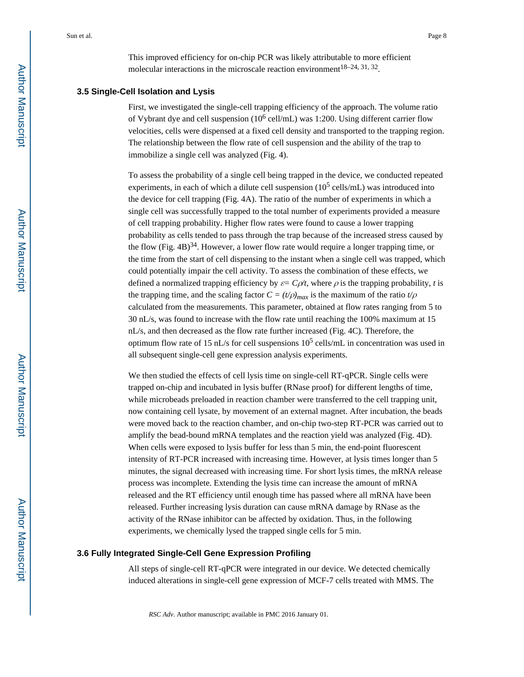This improved efficiency for on-chip PCR was likely attributable to more efficient molecular interactions in the microscale reaction environment<sup>18–24, 31, 32</sup>.

#### **3.5 Single-Cell Isolation and Lysis**

First, we investigated the single-cell trapping efficiency of the approach. The volume ratio of Vybrant dye and cell suspension  $(10^6 \text{ cell/mL})$  was 1:200. Using different carrier flow velocities, cells were dispensed at a fixed cell density and transported to the trapping region. The relationship between the flow rate of cell suspension and the ability of the trap to immobilize a single cell was analyzed (Fig. 4).

To assess the probability of a single cell being trapped in the device, we conducted repeated experiments, in each of which a dilute cell suspension  $(10^5 \text{ cells/mL})$  was introduced into the device for cell trapping (Fig. 4A). The ratio of the number of experiments in which a single cell was successfully trapped to the total number of experiments provided a measure of cell trapping probability. Higher flow rates were found to cause a lower trapping probability as cells tended to pass through the trap because of the increased stress caused by the flow (Fig. 4B)<sup>34</sup>. However, a lower flow rate would require a longer trapping time, or the time from the start of cell dispensing to the instant when a single cell was trapped, which could potentially impair the cell activity. To assess the combination of these effects, we defined a normalized trapping efficiency by  $\varepsilon = C\rho/t$ , where  $\rho$  is the trapping probability, *t* is the trapping time, and the scaling factor  $C = (t/\rho)_{max}$  is the maximum of the ratio  $t/\rho$ calculated from the measurements. This parameter, obtained at flow rates ranging from 5 to 30 nL/s, was found to increase with the flow rate until reaching the 100% maximum at 15 nL/s, and then decreased as the flow rate further increased (Fig. 4C). Therefore, the optimum flow rate of 15 nL/s for cell suspensions  $10^5$  cells/mL in concentration was used in all subsequent single-cell gene expression analysis experiments.

We then studied the effects of cell lysis time on single-cell RT-qPCR. Single cells were trapped on-chip and incubated in lysis buffer (RNase proof) for different lengths of time, while microbeads preloaded in reaction chamber were transferred to the cell trapping unit, now containing cell lysate, by movement of an external magnet. After incubation, the beads were moved back to the reaction chamber, and on-chip two-step RT-PCR was carried out to amplify the bead-bound mRNA templates and the reaction yield was analyzed (Fig. 4D). When cells were exposed to lysis buffer for less than 5 min, the end-point fluorescent intensity of RT-PCR increased with increasing time. However, at lysis times longer than 5 minutes, the signal decreased with increasing time. For short lysis times, the mRNA release process was incomplete. Extending the lysis time can increase the amount of mRNA released and the RT efficiency until enough time has passed where all mRNA have been released. Further increasing lysis duration can cause mRNA damage by RNase as the activity of the RNase inhibitor can be affected by oxidation. Thus, in the following experiments, we chemically lysed the trapped single cells for 5 min.

#### **3.6 Fully Integrated Single-Cell Gene Expression Profiling**

All steps of single-cell RT-qPCR were integrated in our device. We detected chemically induced alterations in single-cell gene expression of MCF-7 cells treated with MMS. The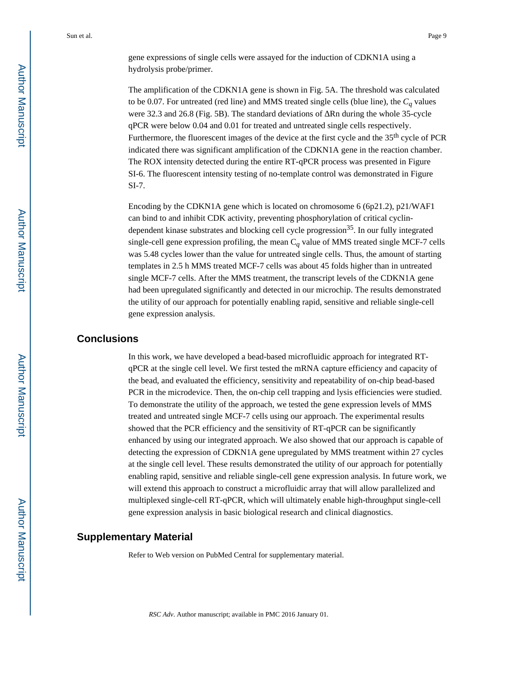The amplification of the CDKN1A gene is shown in Fig. 5A. The threshold was calculated to be 0.07. For untreated (red line) and MMS treated single cells (blue line), the  $C_q$  values were 32.3 and 26.8 (Fig. 5B). The standard deviations of Rn during the whole 35-cycle qPCR were below 0.04 and 0.01 for treated and untreated single cells respectively. Furthermore, the fluorescent images of the device at the first cycle and the 35<sup>th</sup> cycle of PCR indicated there was significant amplification of the CDKN1A gene in the reaction chamber. The ROX intensity detected during the entire RT-qPCR process was presented in Figure SI-6. The fluorescent intensity testing of no-template control was demonstrated in Figure SI-7.

Encoding by the CDKN1A gene which is located on chromosome 6 (6p21.2), p21/WAF1 can bind to and inhibit CDK activity, preventing phosphorylation of critical cyclindependent kinase substrates and blocking cell cycle progression $35$ . In our fully integrated single-cell gene expression profiling, the mean C*q* value of MMS treated single MCF-7 cells was 5.48 cycles lower than the value for untreated single cells. Thus, the amount of starting templates in 2.5 h MMS treated MCF-7 cells was about 45 folds higher than in untreated single MCF-7 cells. After the MMS treatment, the transcript levels of the CDKN1A gene had been upregulated significantly and detected in our microchip. The results demonstrated the utility of our approach for potentially enabling rapid, sensitive and reliable single-cell gene expression analysis.

## **Conclusions**

In this work, we have developed a bead-based microfluidic approach for integrated RTqPCR at the single cell level. We first tested the mRNA capture efficiency and capacity of the bead, and evaluated the efficiency, sensitivity and repeatability of on-chip bead-based PCR in the microdevice. Then, the on-chip cell trapping and lysis efficiencies were studied. To demonstrate the utility of the approach, we tested the gene expression levels of MMS treated and untreated single MCF-7 cells using our approach. The experimental results showed that the PCR efficiency and the sensitivity of RT-qPCR can be significantly enhanced by using our integrated approach. We also showed that our approach is capable of detecting the expression of CDKN1A gene upregulated by MMS treatment within 27 cycles at the single cell level. These results demonstrated the utility of our approach for potentially enabling rapid, sensitive and reliable single-cell gene expression analysis. In future work, we will extend this approach to construct a microfluidic array that will allow parallelized and multiplexed single-cell RT-qPCR, which will ultimately enable high-throughput single-cell gene expression analysis in basic biological research and clinical diagnostics.

## **Supplementary Material**

Refer to Web version on PubMed Central for supplementary material.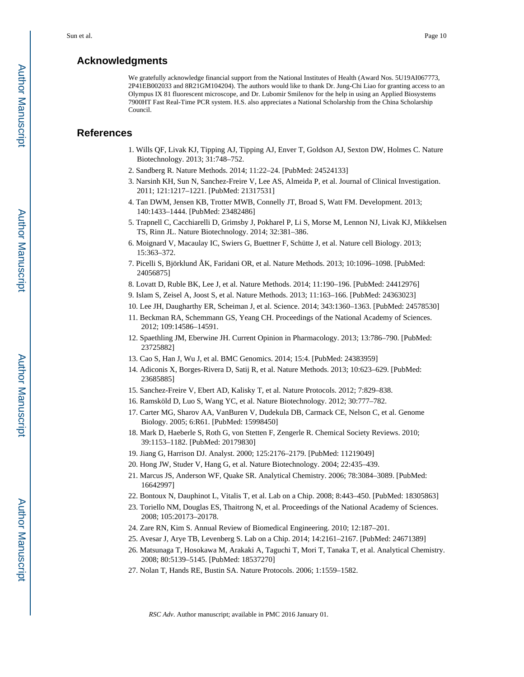## **Acknowledgments**

We gratefully acknowledge financial support from the National Institutes of Health (Award Nos. 5U19AI067773, 2P41EB002033 and 8R21GM104204). The authors would like to thank Dr. Jung-Chi Liao for granting access to an Olympus IX 81 fluorescent microscope, and Dr. Lubomir Smilenov for the help in using an Applied Biosystems 7900HT Fast Real-Time PCR system. H.S. also appreciates a National Scholarship from the China Scholarship Council.

## **References**

- 1. Wills QF, Livak KJ, Tipping AJ, Tipping AJ, Enver T, Goldson AJ, Sexton DW, Holmes C. Nature Biotechnology. 2013; 31:748–752.
- 2. Sandberg R. Nature Methods. 2014; 11:22–24. [PubMed: 24524133]
- 3. Narsinh KH, Sun N, Sanchez-Freire V, Lee AS, Almeida P, et al. Journal of Clinical Investigation. 2011; 121:1217–1221. [PubMed: 21317531]
- 4. Tan DWM, Jensen KB, Trotter MWB, Connelly JT, Broad S, Watt FM. Development. 2013; 140:1433–1444. [PubMed: 23482486]
- 5. Trapnell C, Cacchiarelli D, Grimsby J, Pokharel P, Li S, Morse M, Lennon NJ, Livak KJ, Mikkelsen TS, Rinn JL. Nature Biotechnology. 2014; 32:381–386.
- 6. Moignard V, Macaulay IC, Swiers G, Buettner F, Schütte J, et al. Nature cell Biology. 2013; 15:363–372.
- 7. Picelli S, Björklund ÅK, Faridani OR, et al. Nature Methods. 2013; 10:1096–1098. [PubMed: 24056875]
- 8. Lovatt D, Ruble BK, Lee J, et al. Nature Methods. 2014; 11:190–196. [PubMed: 24412976]
- 9. Islam S, Zeisel A, Joost S, et al. Nature Methods. 2013; 11:163–166. [PubMed: 24363023]
- 10. Lee JH, Daugharthy ER, Scheiman J, et al. Science. 2014; 343:1360–1363. [PubMed: 24578530]
- 11. Beckman RA, Schemmann GS, Yeang CH. Proceedings of the National Academy of Sciences. 2012; 109:14586–14591.
- 12. Spaethling JM, Eberwine JH. Current Opinion in Pharmacology. 2013; 13:786–790. [PubMed: 23725882]
- 13. Cao S, Han J, Wu J, et al. BMC Genomics. 2014; 15:4. [PubMed: 24383959]
- 14. Adiconis X, Borges-Rivera D, Satij R, et al. Nature Methods. 2013; 10:623–629. [PubMed: 23685885]
- 15. Sanchez-Freire V, Ebert AD, Kalisky T, et al. Nature Protocols. 2012; 7:829–838.
- 16. Ramsköld D, Luo S, Wang YC, et al. Nature Biotechnology. 2012; 30:777–782.
- 17. Carter MG, Sharov AA, VanBuren V, Dudekula DB, Carmack CE, Nelson C, et al. Genome Biology. 2005; 6:R61. [PubMed: 15998450]
- 18. Mark D, Haeberle S, Roth G, von Stetten F, Zengerle R. Chemical Society Reviews. 2010; 39:1153–1182. [PubMed: 20179830]
- 19. Jiang G, Harrison DJ. Analyst. 2000; 125:2176–2179. [PubMed: 11219049]
- 20. Hong JW, Studer V, Hang G, et al. Nature Biotechnology. 2004; 22:435–439.
- 21. Marcus JS, Anderson WF, Quake SR. Analytical Chemistry. 2006; 78:3084–3089. [PubMed: 16642997]
- 22. Bontoux N, Dauphinot L, Vitalis T, et al. Lab on a Chip. 2008; 8:443–450. [PubMed: 18305863]
- 23. Toriello NM, Douglas ES, Thaitrong N, et al. Proceedings of the National Academy of Sciences. 2008; 105:20173–20178.
- 24. Zare RN, Kim S. Annual Review of Biomedical Engineering. 2010; 12:187–201.
- 25. Avesar J, Arye TB, Levenberg S. Lab on a Chip. 2014; 14:2161–2167. [PubMed: 24671389]
- 26. Matsunaga T, Hosokawa M, Arakaki A, Taguchi T, Mori T, Tanaka T, et al. Analytical Chemistry. 2008; 80:5139–5145. [PubMed: 18537270]
- 27. Nolan T, Hands RE, Bustin SA. Nature Protocols. 2006; 1:1559–1582.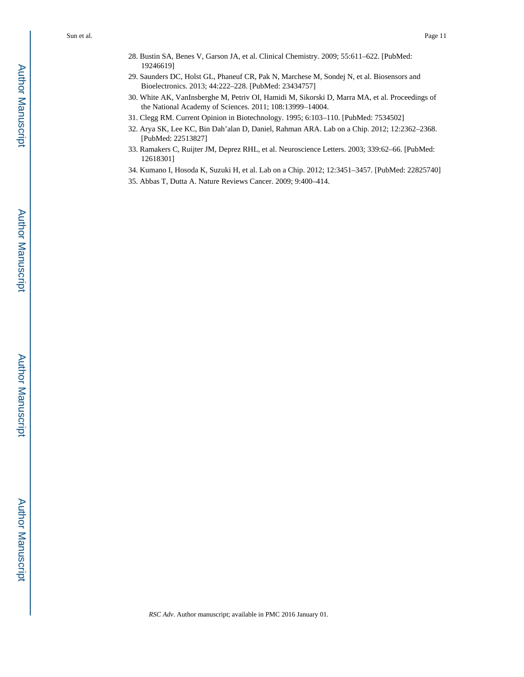- 28. Bustin SA, Benes V, Garson JA, et al. Clinical Chemistry. 2009; 55:611–622. [PubMed: 19246619]
- 29. Saunders DC, Holst GL, Phaneuf CR, Pak N, Marchese M, Sondej N, et al. Biosensors and Bioelectronics. 2013; 44:222–228. [PubMed: 23434757]
- 30. White AK, VanInsberghe M, Petriv OI, Hamidi M, Sikorski D, Marra MA, et al. Proceedings of the National Academy of Sciences. 2011; 108:13999–14004.
- 31. Clegg RM. Current Opinion in Biotechnology. 1995; 6:103–110. [PubMed: 7534502]
- 32. Arya SK, Lee KC, Bin Dah'alan D, Daniel, Rahman ARA. Lab on a Chip. 2012; 12:2362–2368. [PubMed: 22513827]
- 33. Ramakers C, Ruijter JM, Deprez RHL, et al. Neuroscience Letters. 2003; 339:62–66. [PubMed: 12618301]
- 34. Kumano I, Hosoda K, Suzuki H, et al. Lab on a Chip. 2012; 12:3451–3457. [PubMed: 22825740]
- 35. Abbas T, Dutta A. Nature Reviews Cancer. 2009; 9:400–414.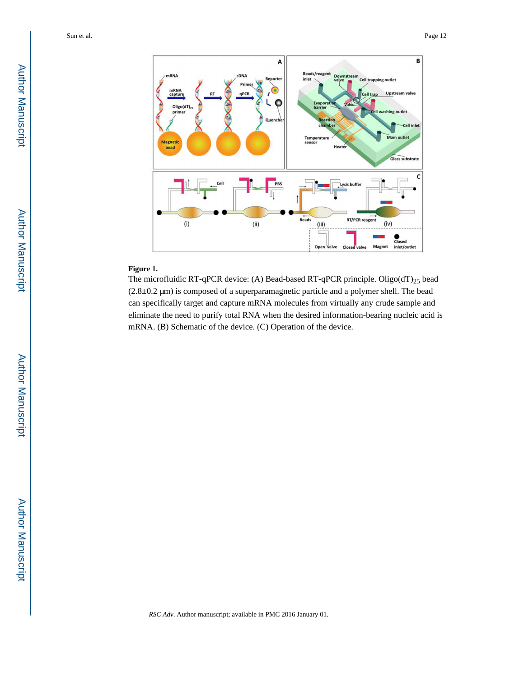

#### **Figure 1.**

The microfluidic RT-qPCR device: (A) Bead-based RT-qPCR principle. Oligo( $dT_{25}$  bead (2.8±0.2 μm) is composed of a superparamagnetic particle and a polymer shell. The bead can specifically target and capture mRNA molecules from virtually any crude sample and eliminate the need to purify total RNA when the desired information-bearing nucleic acid is mRNA. (B) Schematic of the device. (C) Operation of the device.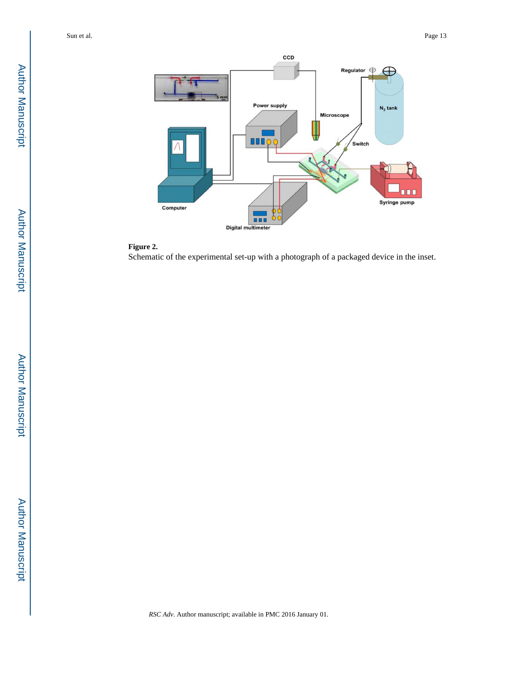

## **Figure 2.**

Schematic of the experimental set-up with a photograph of a packaged device in the inset.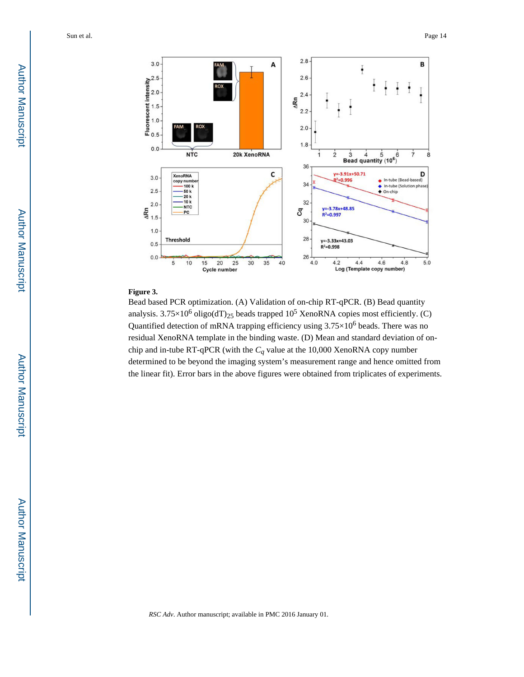

#### **Figure 3.**

Bead based PCR optimization. (A) Validation of on-chip RT-qPCR. (B) Bead quantity analysis.  $3.75 \times 10^6$  oligo(dT)<sub>25</sub> beads trapped  $10^5$  XenoRNA copies most efficiently. (C) Quantified detection of mRNA trapping efficiency using  $3.75 \times 10^6$  beads. There was no residual XenoRNA template in the binding waste. (D) Mean and standard deviation of onchip and in-tube RT-qPCR (with the *Cq* value at the 10,000 XenoRNA copy number determined to be beyond the imaging system's measurement range and hence omitted from the linear fit). Error bars in the above figures were obtained from triplicates of experiments.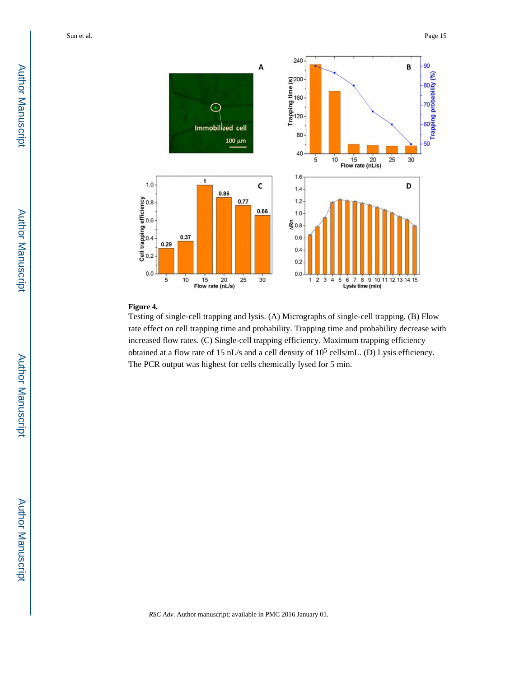

#### **Figure 4.**

Testing of single-cell trapping and lysis. (A) Micrographs of single-cell trapping. (B) Flow rate effect on cell trapping time and probability. Trapping time and probability decrease with increased flow rates. (C) Single-cell trapping efficiency. Maximum trapping efficiency obtained at a flow rate of 15  $nL/s$  and a cell density of  $10^5$  cells/mL. (D) Lysis efficiency. The PCR output was highest for cells chemically lysed for 5 min.